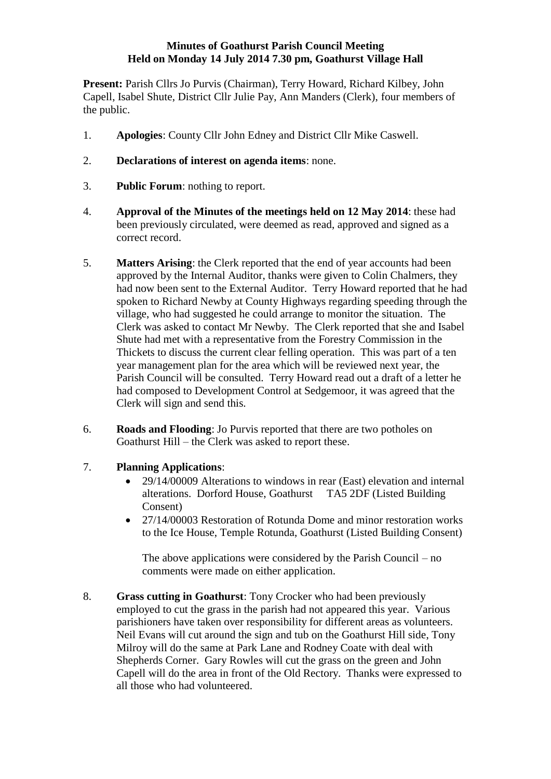## **Minutes of Goathurst Parish Council Meeting Held on Monday 14 July 2014 7.30 pm, Goathurst Village Hall**

Present: Parish Cllrs Jo Purvis (Chairman), Terry Howard, Richard Kilbey, John Capell, Isabel Shute, District Cllr Julie Pay, Ann Manders (Clerk), four members of the public.

- 1. **Apologies**: County Cllr John Edney and District Cllr Mike Caswell.
- 2. **Declarations of interest on agenda items**: none.
- 3. **Public Forum**: nothing to report.
- 4. **Approval of the Minutes of the meetings held on 12 May 2014**: these had been previously circulated, were deemed as read, approved and signed as a correct record.
- 5. **Matters Arising**: the Clerk reported that the end of year accounts had been approved by the Internal Auditor, thanks were given to Colin Chalmers, they had now been sent to the External Auditor. Terry Howard reported that he had spoken to Richard Newby at County Highways regarding speeding through the village, who had suggested he could arrange to monitor the situation. The Clerk was asked to contact Mr Newby. The Clerk reported that she and Isabel Shute had met with a representative from the Forestry Commission in the Thickets to discuss the current clear felling operation. This was part of a ten year management plan for the area which will be reviewed next year, the Parish Council will be consulted. Terry Howard read out a draft of a letter he had composed to Development Control at Sedgemoor, it was agreed that the Clerk will sign and send this.
- 6. **Roads and Flooding**: Jo Purvis reported that there are two potholes on Goathurst Hill – the Clerk was asked to report these.
- 7. **Planning Applications**:
	- 29/14/00009 Alterations to windows in rear (East) elevation and internal alterations. Dorford House, Goathurst TA5 2DF (Listed Building Consent)
	- 27/14/00003 Restoration of Rotunda Dome and minor restoration works to the Ice House, Temple Rotunda, Goathurst (Listed Building Consent)

The above applications were considered by the Parish Council – no comments were made on either application.

8. **Grass cutting in Goathurst**: Tony Crocker who had been previously employed to cut the grass in the parish had not appeared this year. Various parishioners have taken over responsibility for different areas as volunteers. Neil Evans will cut around the sign and tub on the Goathurst Hill side, Tony Milroy will do the same at Park Lane and Rodney Coate with deal with Shepherds Corner. Gary Rowles will cut the grass on the green and John Capell will do the area in front of the Old Rectory. Thanks were expressed to all those who had volunteered.